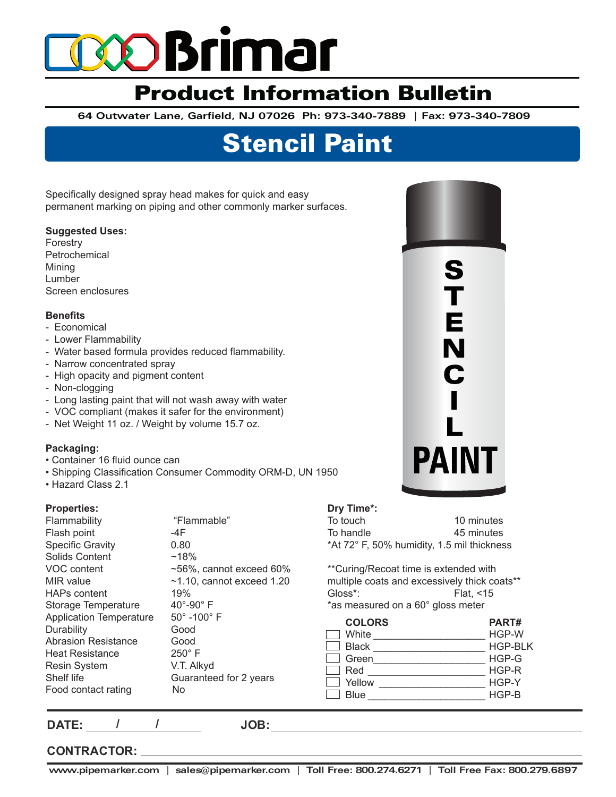# **XD Brimar**

## Product Information Bulletin

**64 Outwater Lane, Garfield, NJ 07026 Ph: 973-340-7889 | Fax: 973-340-7809** 

## Stencil Paint

Specifically designed spray head makes for quick and easy permanent marking on piping and other commonly marker surfaces.

### **Suggested Uses:**

**Forestry** Petrochemical Mining Lumber Screen enclosures

## **Benefits**

- Economical
- Lower Flammability
- Water based formula provides reduced flammability.
- Narrow concentrated spray
- High opacity and pigment content
- Non-clogging
- Long lasting paint that will not wash away with water
- VOC compliant (makes it safer for the environment)
- Net Weight 11 oz. / Weight by volume 15.7 oz.

## **Packaging:**

- Container 16 fluid ounce can
- Shipping Classification Consumer Commodity ORM-D, UN 1950
- Hazard Class 2.1

## **Properties:**

| Flammability                   | "Flammable"                   |
|--------------------------------|-------------------------------|
| Flash point                    | -4F                           |
| <b>Specific Gravity</b>        | 0.80                          |
| Solids Content                 | $~18\%$                       |
| VOC content                    | $\sim$ 56%, cannot exceed 60% |
| MIR value                      | $~1.10$ , cannot exceed 1.20  |
| <b>HAPs content</b>            | 19%                           |
| Storage Temperature            | $40^{\circ}$ -90 $^{\circ}$ F |
| <b>Application Temperature</b> | $50^\circ$ -100 $^\circ$ F    |
| Durability                     | Good                          |
| <b>Abrasion Resistance</b>     | Good                          |
| <b>Heat Resistance</b>         | $250^\circ$ F                 |
| <b>Resin System</b>            | V.T. Alkyd                    |
| Shelf life                     | Guaranteed for 2 years        |
| Food contact rating            | No                            |
|                                |                               |



| Dry Time*:                                 |            |
|--------------------------------------------|------------|
| To touch                                   | 10 minutes |
| To handle                                  | 45 minutes |
| *At 72° F, 50% humidity, 1.5 mil thickness |            |

\*\*Curing/Recoat time is extended with multiple coats and excessively thick coats\*\* Gloss\*: Flat, <15

|  |  | *as measured on a 60° gloss meter |  |  |  |  |  |
|--|--|-----------------------------------|--|--|--|--|--|
|--|--|-----------------------------------|--|--|--|--|--|

| <b>COLORS</b> | PART#          |
|---------------|----------------|
| White         | HGP-W          |
| <b>Black</b>  | <b>HGP-BLK</b> |
| Green         | HGP-G          |
| Red           | $HGP-R$        |
| Yellow        | HGP-Y          |
| Blue          | $HGP-B$        |

**DATE: / /**

**JOB:**

## **CONTRACTOR:**